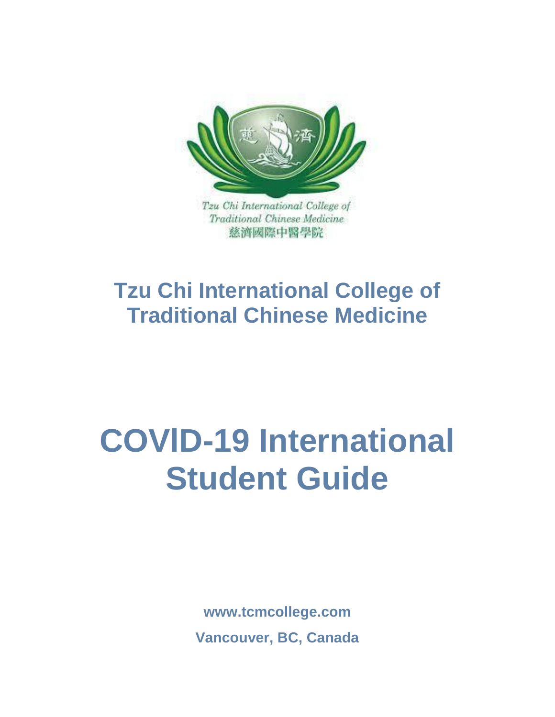

Traditional Chinese Medicine 慈濟國際中醫學院

# **Tzu Chi International College of Traditional Chinese Medicine**

# **COVlD-19 International Student Guide**

**www.tcmcollege.com Vancouver, BC, Canada**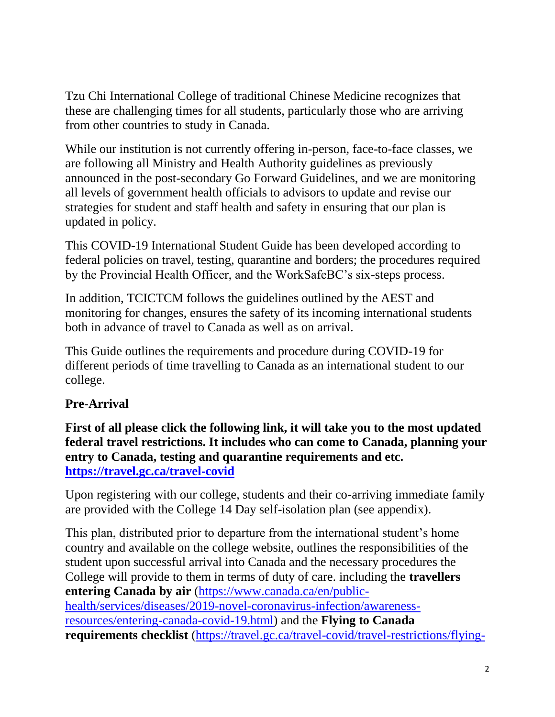Tzu Chi International College of traditional Chinese Medicine recognizes that these are challenging times for all students, particularly those who are arriving from other countries to study in Canada.

While our institution is not currently offering in-person, face-to-face classes, we are following all Ministry and Health Authority guidelines as previously announced in the post-secondary Go Forward Guidelines, and we are monitoring all levels of government health officials to advisors to update and revise our strategies for student and staff health and safety in ensuring that our plan is updated in policy.

This COVID-19 International Student Guide has been developed according to federal policies on travel, testing, quarantine and borders; the procedures required by the Provincial Health Officer, and the WorkSafeBC's six-steps process.

In addition, TCICTCM follows the guidelines outlined by the AEST and monitoring for changes, ensures the safety of its incoming international students both in advance of travel to Canada as well as on arrival.

This Guide outlines the requirements and procedure during COVID-19 for different periods of time travelling to Canada as an international student to our college.

### **Pre-Arrival**

**First of all please click the following link, it will take you to the most updated federal travel restrictions. It includes who can come to Canada, planning your entry to Canada, testing and quarantine requirements and etc. <https://travel.gc.ca/travel-covid>**

Upon registering with our college, students and their co-arriving immediate family are provided with the College 14 Day self-isolation plan (see appendix).

This plan, distributed prior to departure from the international student's home country and available on the college website, outlines the responsibilities of the student upon successful arrival into Canada and the necessary procedures the College will provide to them in terms of duty of care. including the **travellers entering Canada by air** [\(https://www.canada.ca/en/public](https://www.canada.ca/en/public-health/services/diseases/2019-novel-coronavirus-infection/awareness-resources/entering-canada-covid-19.html)[health/services/diseases/2019-novel-coronavirus-infection/awareness](https://www.canada.ca/en/public-health/services/diseases/2019-novel-coronavirus-infection/awareness-resources/entering-canada-covid-19.html)[resources/entering-canada-covid-19.html\)](https://www.canada.ca/en/public-health/services/diseases/2019-novel-coronavirus-infection/awareness-resources/entering-canada-covid-19.html) and the **Flying to Canada requirements checklist** [\(https://travel.gc.ca/travel-covid/travel-restrictions/flying-](https://travel.gc.ca/travel-covid/travel-restrictions/flying-canada-checklist)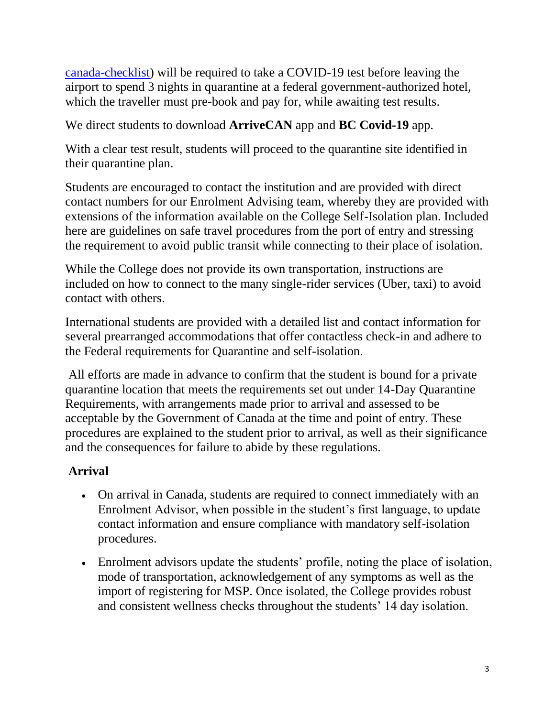[canada-checklist\)](https://travel.gc.ca/travel-covid/travel-restrictions/flying-canada-checklist) will be required to take a COVID-19 test before leaving the airport to spend 3 nights in quarantine at a federal government-authorized hotel, which the traveller must pre-book and pay for, while awaiting test results.

We direct students to download **ArriveCAN** app and **BC Covid-19** app.

With a clear test result, students will proceed to the quarantine site identified in their quarantine plan.

Students are encouraged to contact the institution and are provided with direct contact numbers for our Enrolment Advising team, whereby they are provided with extensions of the information available on the College Self-Isolation plan. Included here are guidelines on safe travel procedures from the port of entry and stressing the requirement to avoid public transit while connecting to their place of isolation.

While the College does not provide its own transportation, instructions are included on how to connect to the many single-rider services (Uber, taxi) to avoid contact with others.

International students are provided with a detailed list and contact information for several prearranged accommodations that offer contactless check-in and adhere to the Federal requirements for Quarantine and self-isolation.

All efforts are made in advance to confirm that the student is bound for a private quarantine location that meets the requirements set out under 14-Day Quarantine Requirements, with arrangements made prior to arrival and assessed to be acceptable by the Government of Canada at the time and point of entry. These procedures are explained to the student prior to arrival, as well as their significance and the consequences for failure to abide by these regulations.

# **Arrival**

- On arrival in Canada, students are required to connect immediately with an Enrolment Advisor, when possible in the student's first language, to update contact information and ensure compliance with mandatory self-isolation procedures.
- Enrolment advisors update the students' profile, noting the place of isolation, mode of transportation, acknowledgement of any symptoms as well as the import of registering for MSP. Once isolated, the College provides robust and consistent wellness checks throughout the students' 14 day isolation.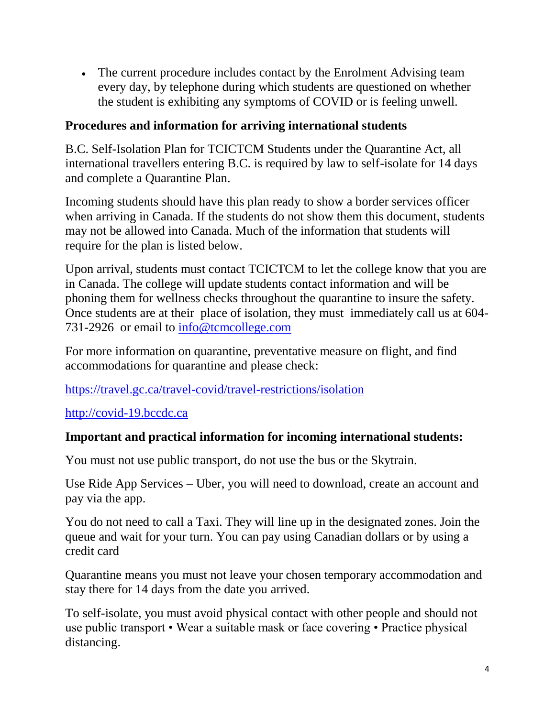• The current procedure includes contact by the Enrolment Advising team every day, by telephone during which students are questioned on whether the student is exhibiting any symptoms of COVID or is feeling unwell.

#### **Procedures and information for arriving international students**

B.C. Self-Isolation Plan for TCICTCM Students under the Quarantine Act, all international travellers entering B.C. is required by law to self-isolate for 14 days and complete a Quarantine Plan.

Incoming students should have this plan ready to show a border services officer when arriving in Canada. If the students do not show them this document, students may not be allowed into Canada. Much of the information that students will require for the plan is listed below.

Upon arrival, students must contact TCICTCM to let the college know that you are in Canada. The college will update students contact information and will be phoning them for wellness checks throughout the quarantine to insure the safety. Once students are at their place of isolation, they must immediately call us at 604- 731-2926 or email to [info@tcmcollege.com](mailto:info@tcmcollege.com)

For more information on quarantine, preventative measure on flight, and find accommodations for quarantine and please check:

<https://travel.gc.ca/travel-covid/travel-restrictions/isolation>

[http://covid-19.bccdc.ca](http://covid-19.bccdc.ca/)

# **Important and practical information for incoming international students:**

You must not use public transport, do not use the bus or the Skytrain.

Use Ride App Services – Uber, you will need to download, create an account and pay via the app.

You do not need to call a Taxi. They will line up in the designated zones. Join the queue and wait for your turn. You can pay using Canadian dollars or by using a credit card

Quarantine means you must not leave your chosen temporary accommodation and stay there for 14 days from the date you arrived.

To self-isolate, you must avoid physical contact with other people and should not use public transport • Wear a suitable mask or face covering • Practice physical distancing.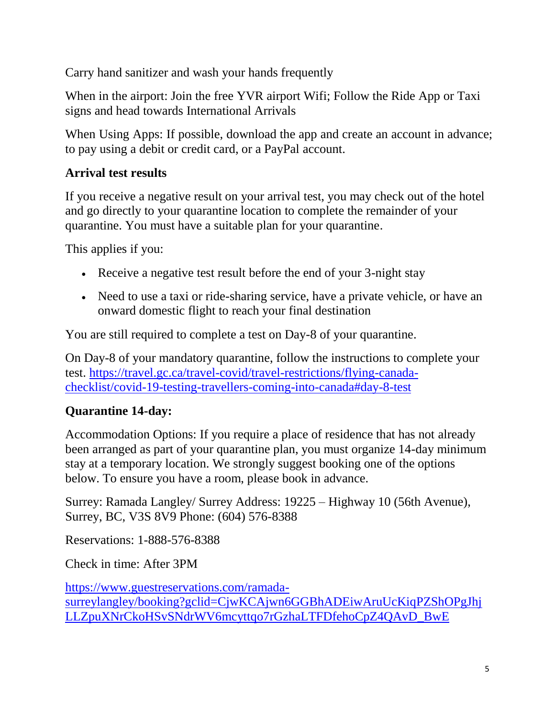Carry hand sanitizer and wash your hands frequently

When in the airport: Join the free YVR airport Wifi; Follow the Ride App or Taxi signs and head towards International Arrivals

When Using Apps: If possible, download the app and create an account in advance; to pay using a debit or credit card, or a PayPal account.

### **Arrival test results**

If you receive a negative result on your arrival test, you may check out of the hotel and go directly to your quarantine location to complete the remainder of your quarantine. You must have a suitable plan for your quarantine.

This applies if you:

- Receive a negative test result before the end of your 3-night stay
- Need to use a taxi or ride-sharing service, have a private vehicle, or have an onward domestic flight to reach your final destination

You are still required to complete a test on Day-8 of your quarantine.

On Day-8 of your mandatory quarantine, follow the instructions to complete your test. [https://travel.gc.ca/travel-covid/travel-restrictions/flying-canada](https://travel.gc.ca/travel-covid/travel-restrictions/flying-canada-checklist/covid-19-testing-travellers-coming-into-canada#day-8-test)[checklist/covid-19-testing-travellers-coming-into-canada#day-8-test](https://travel.gc.ca/travel-covid/travel-restrictions/flying-canada-checklist/covid-19-testing-travellers-coming-into-canada#day-8-test)

#### **Quarantine 14-day:**

Accommodation Options: If you require a place of residence that has not already been arranged as part of your quarantine plan, you must organize 14-day minimum stay at a temporary location. We strongly suggest booking one of the options below. To ensure you have a room, please book in advance.

Surrey: Ramada Langley/ Surrey Address: 19225 – Highway 10 (56th Avenue), Surrey, BC, V3S 8V9 Phone: (604) 576-8388

Reservations: 1-888-576-8388

Check in time: After 3PM

[https://www.guestreservations.com/ramada](https://www.guestreservations.com/ramada-surreylangley/booking?gclid=CjwKCAjwn6GGBhADEiwAruUcKiqPZShOPgJhjLLZpuXNrCkoHSvSNdrWV6mcyttqo7rGzhaLTFDfehoCpZ4QAvD_BwE)[surreylangley/booking?gclid=CjwKCAjwn6GGBhADEiwAruUcKiqPZShOPgJhj](https://www.guestreservations.com/ramada-surreylangley/booking?gclid=CjwKCAjwn6GGBhADEiwAruUcKiqPZShOPgJhjLLZpuXNrCkoHSvSNdrWV6mcyttqo7rGzhaLTFDfehoCpZ4QAvD_BwE) [LLZpuXNrCkoHSvSNdrWV6mcyttqo7rGzhaLTFDfehoCpZ4QAvD\\_BwE](https://www.guestreservations.com/ramada-surreylangley/booking?gclid=CjwKCAjwn6GGBhADEiwAruUcKiqPZShOPgJhjLLZpuXNrCkoHSvSNdrWV6mcyttqo7rGzhaLTFDfehoCpZ4QAvD_BwE)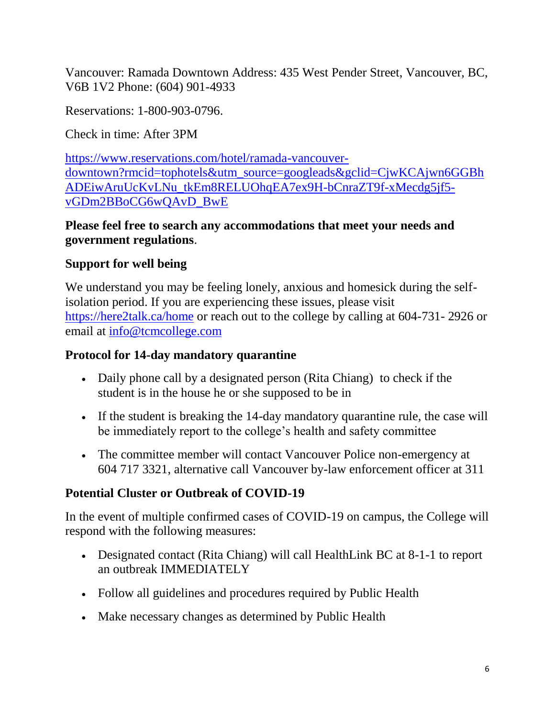Vancouver: Ramada Downtown Address: 435 West Pender Street, Vancouver, BC, V6B 1V2 Phone: (604) 901-4933

Reservations: 1-800-903-0796.

Check in time: After 3PM

[https://www.reservations.com/hotel/ramada-vancouver](https://www.reservations.com/hotel/ramada-vancouver-downtown?rmcid=tophotels&utm_source=googleads&gclid=CjwKCAjwn6GGBhADEiwAruUcKvLNu_tkEm8RELUOhqEA7ex9H-bCnraZT9f-xMecdg5jf5-vGDm2BBoCG6wQAvD_BwE)[downtown?rmcid=tophotels&utm\\_source=googleads&gclid=CjwKCAjwn6GGBh](https://www.reservations.com/hotel/ramada-vancouver-downtown?rmcid=tophotels&utm_source=googleads&gclid=CjwKCAjwn6GGBhADEiwAruUcKvLNu_tkEm8RELUOhqEA7ex9H-bCnraZT9f-xMecdg5jf5-vGDm2BBoCG6wQAvD_BwE) [ADEiwAruUcKvLNu\\_tkEm8RELUOhqEA7ex9H-bCnraZT9f-xMecdg5jf5](https://www.reservations.com/hotel/ramada-vancouver-downtown?rmcid=tophotels&utm_source=googleads&gclid=CjwKCAjwn6GGBhADEiwAruUcKvLNu_tkEm8RELUOhqEA7ex9H-bCnraZT9f-xMecdg5jf5-vGDm2BBoCG6wQAvD_BwE) [vGDm2BBoCG6wQAvD\\_BwE](https://www.reservations.com/hotel/ramada-vancouver-downtown?rmcid=tophotels&utm_source=googleads&gclid=CjwKCAjwn6GGBhADEiwAruUcKvLNu_tkEm8RELUOhqEA7ex9H-bCnraZT9f-xMecdg5jf5-vGDm2BBoCG6wQAvD_BwE)

#### **Please feel free to search any accommodations that meet your needs and government regulations**.

### **Support for well being**

We understand you may be feeling lonely, anxious and homesick during the selfisolation period. If you are experiencing these issues, please visit <https://here2talk.ca/home> or reach out to the college by calling at 604-731- 2926 or email at [info@tcmcollege.com](mailto:info@tcmcollege.com)

#### **Protocol for 14-day mandatory quarantine**

- Daily phone call by a designated person (Rita Chiang) to check if the student is in the house he or she supposed to be in
- If the student is breaking the 14-day mandatory quarantine rule, the case will be immediately report to the college's health and safety committee
- The committee member will contact Vancouver Police non-emergency at 604 717 3321, alternative call Vancouver by-law enforcement officer at 311

#### **Potential Cluster or Outbreak of COVID-19**

In the event of multiple confirmed cases of COVID-19 on campus, the College will respond with the following measures:

- Designated contact (Rita Chiang) will call HealthLink BC at 8-1-1 to report an outbreak IMMEDIATELY
- Follow all guidelines and procedures required by Public Health
- Make necessary changes as determined by Public Health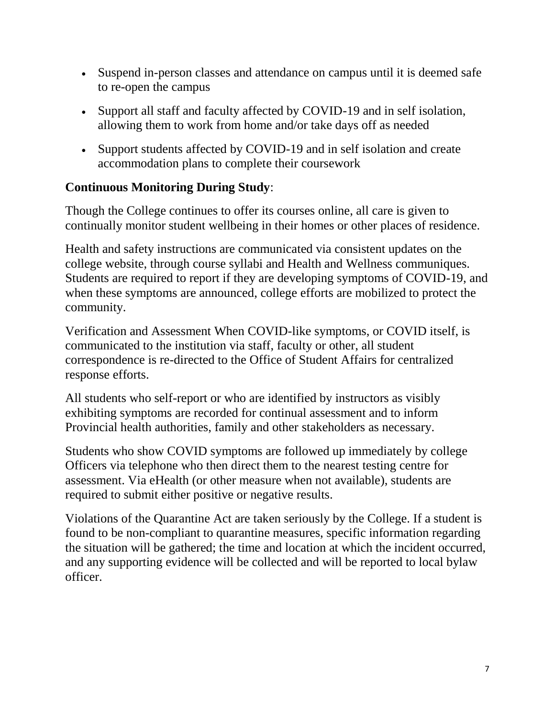- Suspend in-person classes and attendance on campus until it is deemed safe to re-open the campus
- Support all staff and faculty affected by COVID-19 and in self isolation, allowing them to work from home and/or take days off as needed
- Support students affected by COVID-19 and in self isolation and create accommodation plans to complete their coursework

# **Continuous Monitoring During Study**:

Though the College continues to offer its courses online, all care is given to continually monitor student wellbeing in their homes or other places of residence.

Health and safety instructions are communicated via consistent updates on the college website, through course syllabi and Health and Wellness communiques. Students are required to report if they are developing symptoms of COVID-19, and when these symptoms are announced, college efforts are mobilized to protect the community.

Verification and Assessment When COVID-like symptoms, or COVID itself, is communicated to the institution via staff, faculty or other, all student correspondence is re-directed to the Office of Student Affairs for centralized response efforts.

All students who self-report or who are identified by instructors as visibly exhibiting symptoms are recorded for continual assessment and to inform Provincial health authorities, family and other stakeholders as necessary.

Students who show COVID symptoms are followed up immediately by college Officers via telephone who then direct them to the nearest testing centre for assessment. Via eHealth (or other measure when not available), students are required to submit either positive or negative results.

Violations of the Quarantine Act are taken seriously by the College. If a student is found to be non-compliant to quarantine measures, specific information regarding the situation will be gathered; the time and location at which the incident occurred, and any supporting evidence will be collected and will be reported to local bylaw officer.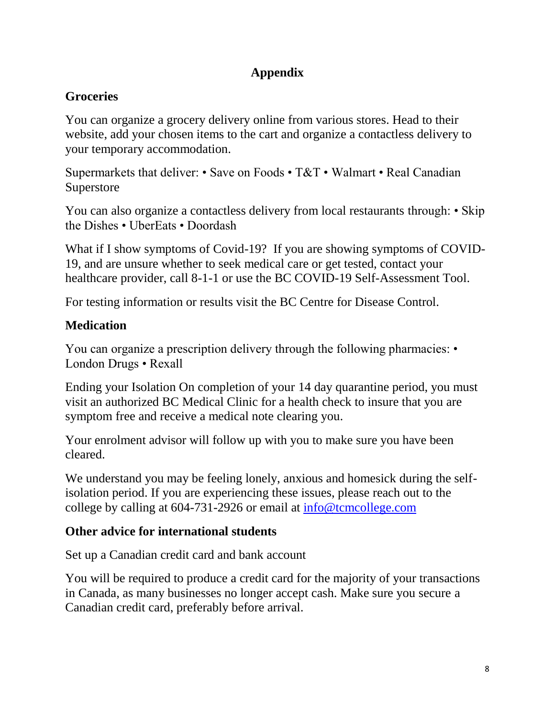#### **Appendix**

# **Groceries**

You can organize a grocery delivery online from various stores. Head to their website, add your chosen items to the cart and organize a contactless delivery to your temporary accommodation.

Supermarkets that deliver: • Save on Foods • T&T • Walmart • Real Canadian Superstore

You can also organize a contactless delivery from local restaurants through: • Skip the Dishes • UberEats • Doordash

What if I show symptoms of Covid-19? If you are showing symptoms of COVID-19, and are unsure whether to seek medical care or get tested, contact your healthcare provider, call 8-1-1 or use the BC COVID-19 Self-Assessment Tool.

For testing information or results visit the BC Centre for Disease Control.

### **Medication**

You can organize a prescription delivery through the following pharmacies: • London Drugs • Rexall

Ending your Isolation On completion of your 14 day quarantine period, you must visit an authorized BC Medical Clinic for a health check to insure that you are symptom free and receive a medical note clearing you.

Your enrolment advisor will follow up with you to make sure you have been cleared.

We understand you may be feeling lonely, anxious and homesick during the selfisolation period. If you are experiencing these issues, please reach out to the college by calling at 604-731-2926 or email at [info@tcmcollege.com](mailto:info@tcmcollege.com)

### **Other advice for international students**

Set up a Canadian credit card and bank account

You will be required to produce a credit card for the majority of your transactions in Canada, as many businesses no longer accept cash. Make sure you secure a Canadian credit card, preferably before arrival.